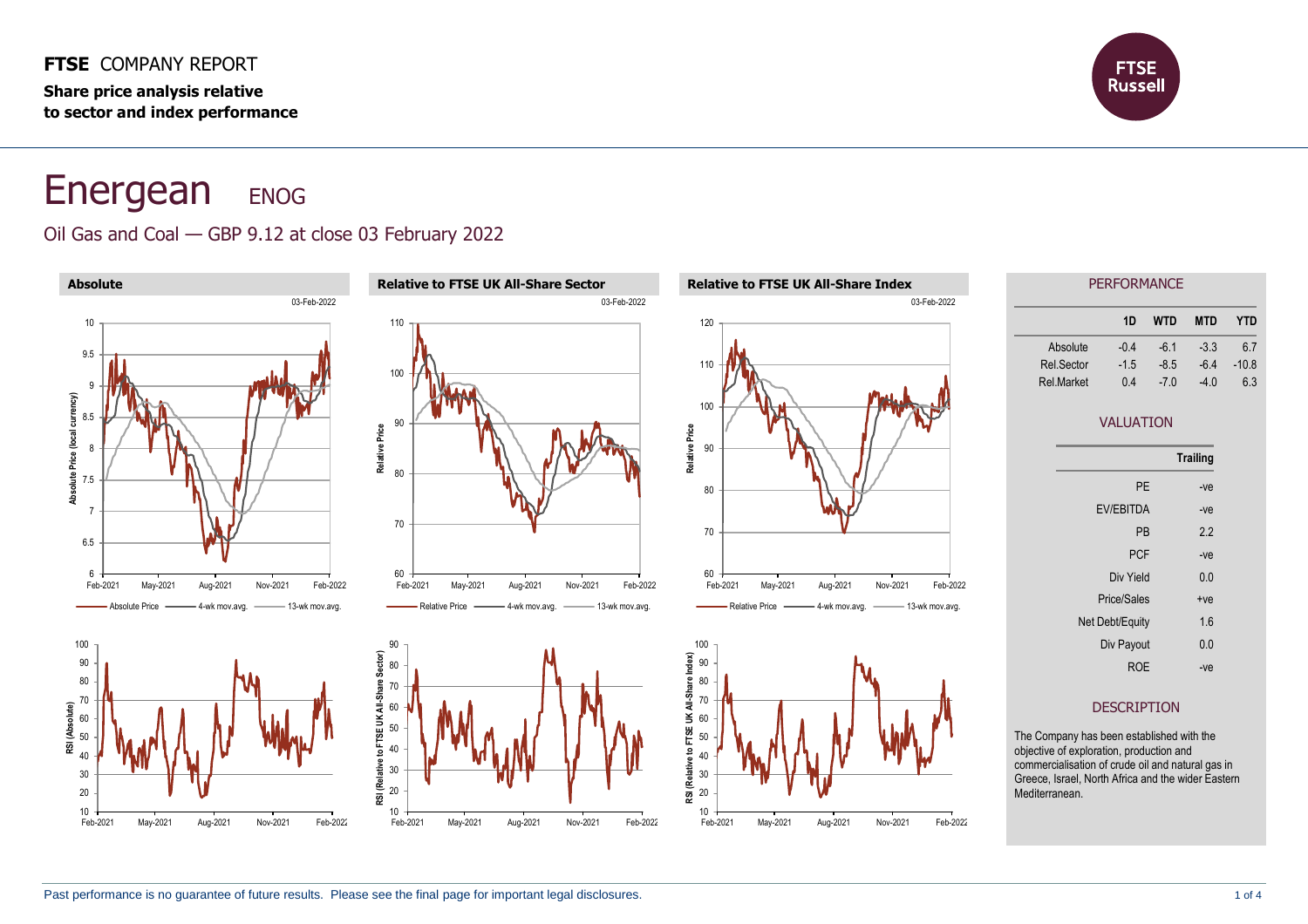#### **FTSE** COMPANY REPORT

**Share price analysis relative to sector and index performance**



# Energean ENOG

## Oil Gas and Coal — GBP 9.12 at close 03 February 2022

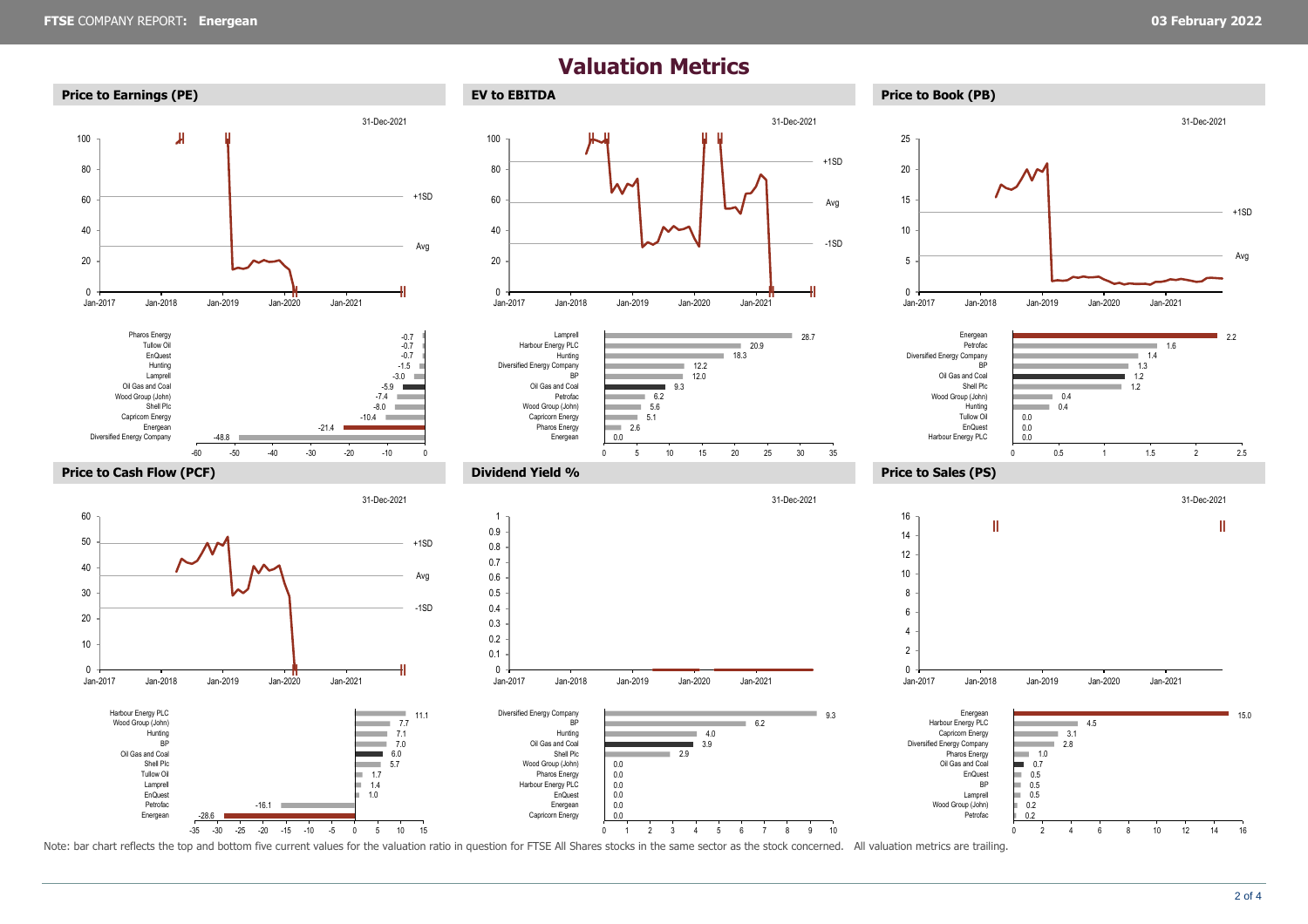## **Valuation Metrics**



Note: bar chart reflects the top and bottom five current values for the valuation ratio in question for FTSE All Shares stocks in the same sector as the stock concerned. All valuation metrics are trailing.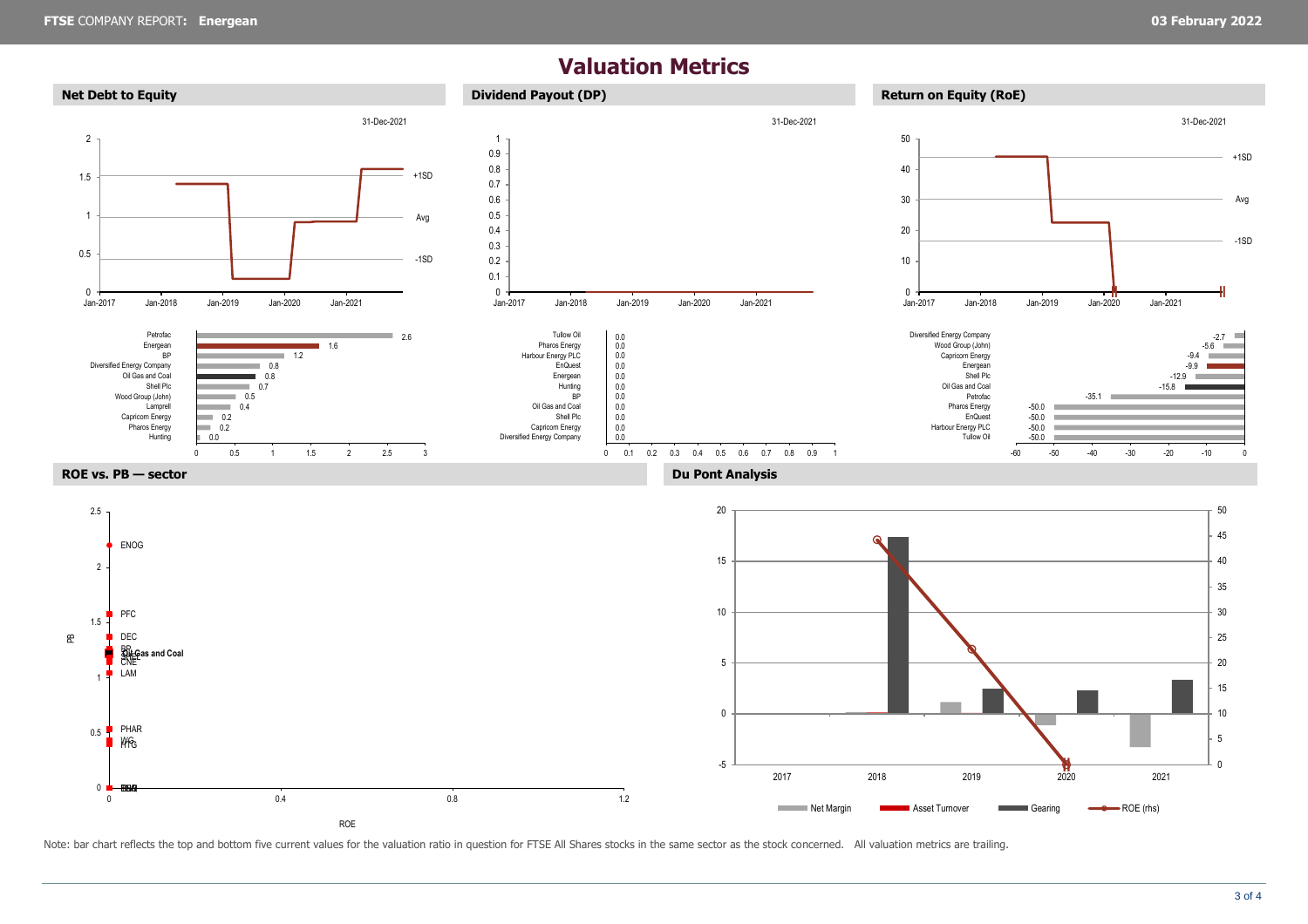## **Valuation Metrics**



Note: bar chart reflects the top and bottom five current values for the valuation ratio in question for FTSE All Shares stocks in the same sector as the stock concerned. All valuation metrics are trailing.